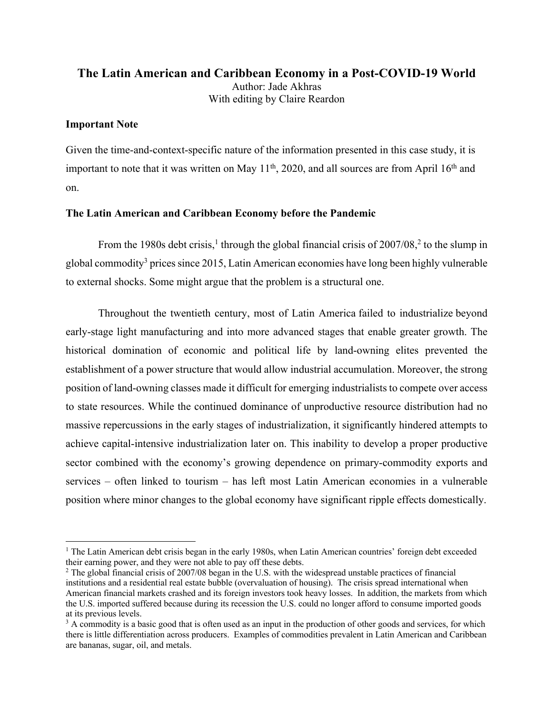# **The Latin American and Caribbean Economy in a Post-COVID-19 World** Author: Jade Akhras With editing by Claire Reardon

# **Important Note**

Given the time-and-context-specific nature of the information presented in this case study, it is important to note that it was written on May  $11<sup>th</sup>$ , 2020, and all sources are from April  $16<sup>th</sup>$  and on.

## **The Latin American and Caribbean Economy before the Pandemic**

From the 1980s debt crisis,<sup>1</sup> through the global financial crisis of  $2007/08$ ,<sup>2</sup> to the slump in global commodity<sup>3</sup> prices since 2015, Latin American economies have long been highly vulnerable to external shocks. Some might argue that the problem is a structural one.

Throughout the twentieth century, most of Latin America failed to industrialize beyond early-stage light manufacturing and into more advanced stages that enable greater growth. The historical domination of economic and political life by land-owning elites prevented the establishment of a power structure that would allow industrial accumulation. Moreover, the strong position of land-owning classes made it difficult for emerging industrialists to compete over access to state resources. While the continued dominance of unproductive resource distribution had no massive repercussions in the early stages of industrialization, it significantly hindered attempts to achieve capital-intensive industrialization later on. This inability to develop a proper productive sector combined with the economy's growing dependence on primary-commodity exports and services – often linked to tourism – has left most Latin American economies in a vulnerable position where minor changes to the global economy have significant ripple effects domestically.

 $1$  The Latin American debt crisis began in the early 1980s, when Latin American countries' foreign debt exceeded their earning power, and they were not able to pay off these debts.

<sup>&</sup>lt;sup>2</sup> The global financial crisis of 2007/08 began in the U.S. with the widespread unstable practices of financial institutions and a residential real estate bubble (overvaluation of housing). The crisis spread international when American financial markets crashed and its foreign investors took heavy losses. In addition, the markets from which the U.S. imported suffered because during its recession the U.S. could no longer afford to consume imported goods at its previous levels.

<sup>&</sup>lt;sup>3</sup> A commodity is a basic good that is often used as an input in the production of other goods and services, for which there is little differentiation across producers. Examples of commodities prevalent in Latin American and Caribbean are bananas, sugar, oil, and metals.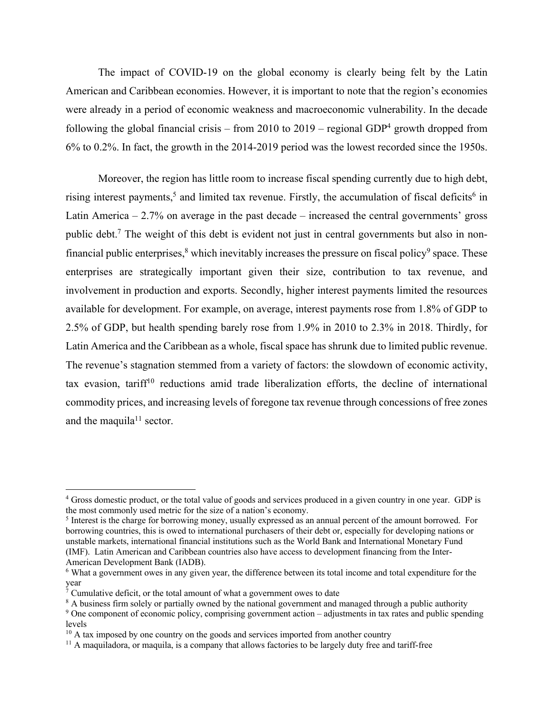The impact of COVID-19 on the global economy is clearly being felt by the Latin American and Caribbean economies. However, it is important to note that the region's economies were already in a period of economic weakness and macroeconomic vulnerability. In the decade following the global financial crisis – from 2010 to 2019 – regional GDP<sup>4</sup> growth dropped from 6% to 0.2%. In fact, the growth in the 2014-2019 period was the lowest recorded since the 1950s.

Moreover, the region has little room to increase fiscal spending currently due to high debt, rising interest payments,<sup>5</sup> and limited tax revenue. Firstly, the accumulation of fiscal deficits<sup>6</sup> in Latin America  $-2.7%$  on average in the past decade  $-$  increased the central governments' gross public debt.7 The weight of this debt is evident not just in central governments but also in nonfinancial public enterprises, $\frac{8}{3}$  which inevitably increases the pressure on fiscal policy $\frac{9}{3}$  space. These enterprises are strategically important given their size, contribution to tax revenue, and involvement in production and exports. Secondly, higher interest payments limited the resources available for development. For example, on average, interest payments rose from 1.8% of GDP to 2.5% of GDP, but health spending barely rose from 1.9% in 2010 to 2.3% in 2018. Thirdly, for Latin America and the Caribbean as a whole, fiscal space has shrunk due to limited public revenue. The revenue's stagnation stemmed from a variety of factors: the slowdown of economic activity, tax evasion, tariff<sup>10</sup> reductions amid trade liberalization efforts, the decline of international commodity prices, and increasing levels of foregone tax revenue through concessions of free zones and the maquila<sup>11</sup> sector.

<sup>&</sup>lt;sup>4</sup> Gross domestic product, or the total value of goods and services produced in a given country in one year. GDP is the most commonly used metric for the size of a nation's economy.

<sup>&</sup>lt;sup>5</sup> Interest is the charge for borrowing money, usually expressed as an annual percent of the amount borrowed. For borrowing countries, this is owed to international purchasers of their debt or, especially for developing nations or unstable markets, international financial institutions such as the World Bank and International Monetary Fund (IMF). Latin American and Caribbean countries also have access to development financing from the Inter-American Development Bank (IADB).

<sup>6</sup> What a government owes in any given year, the difference between its total income and total expenditure for the year

 $\bar{7}$  Cumulative deficit, or the total amount of what a government owes to date

<sup>&</sup>lt;sup>8</sup> A business firm solely or partially owned by the national government and managed through a public authority <sup>9</sup> One component of economic policy, comprising government action – adjustments in tax rates and public spending

levels

 $10$  A tax imposed by one country on the goods and services imported from another country

 $11$  A maquiladora, or maquila, is a company that allows factories to be largely duty free and tariff-free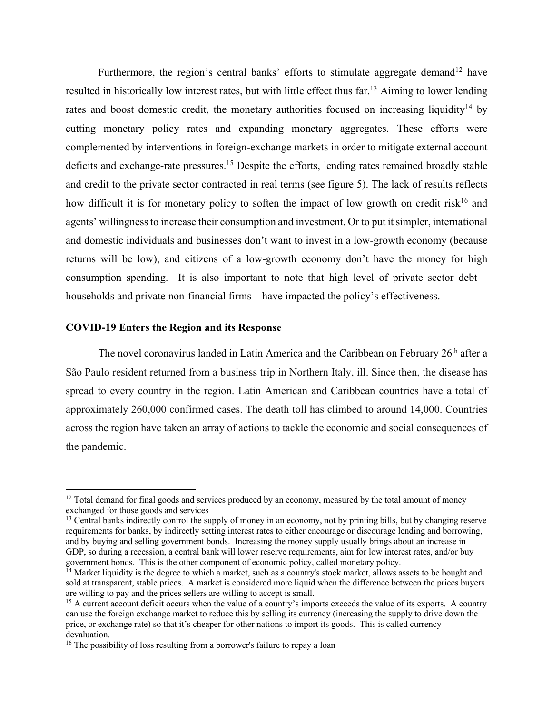Furthermore, the region's central banks' efforts to stimulate aggregate demand<sup>12</sup> have resulted in historically low interest rates, but with little effect thus far.13 Aiming to lower lending rates and boost domestic credit, the monetary authorities focused on increasing liquidity<sup>14</sup> by cutting monetary policy rates and expanding monetary aggregates. These efforts were complemented by interventions in foreign-exchange markets in order to mitigate external account deficits and exchange-rate pressures.<sup>15</sup> Despite the efforts, lending rates remained broadly stable and credit to the private sector contracted in real terms (see figure 5). The lack of results reflects how difficult it is for monetary policy to soften the impact of low growth on credit risk<sup>16</sup> and agents' willingness to increase their consumption and investment. Or to put it simpler, international and domestic individuals and businesses don't want to invest in a low-growth economy (because returns will be low), and citizens of a low-growth economy don't have the money for high consumption spending. It is also important to note that high level of private sector debt – households and private non-financial firms – have impacted the policy's effectiveness.

# **COVID-19 Enters the Region and its Response**

The novel coronavirus landed in Latin America and the Caribbean on February 26<sup>th</sup> after a São Paulo resident returned from a business trip in Northern Italy, ill. Since then, the disease has spread to every country in the region. Latin American and Caribbean countries have a total of approximately 260,000 confirmed cases. The death toll has climbed to around 14,000. Countries across the region have taken an array of actions to tackle the economic and social consequences of the pandemic.

<sup>&</sup>lt;sup>12</sup> Total demand for final goods and services produced by an economy, measured by the total amount of money exchanged for those goods and services

<sup>&</sup>lt;sup>13</sup> Central banks indirectly control the supply of money in an economy, not by printing bills, but by changing reserve requirements for banks, by indirectly setting interest rates to either encourage or discourage lending and borrowing, and by buying and selling government bonds. Increasing the money supply usually brings about an increase in GDP, so during a recession, a central bank will lower reserve requirements, aim for low interest rates, and/or buy government bonds. This is the other component of economic policy, called monetary policy.

<sup>&</sup>lt;sup>14</sup> Market liquidity is the degree to which a market, such as a country's stock market, allows assets to be bought and sold at transparent, stable prices. A market is considered more liquid when the difference between the prices buyers are willing to pay and the prices sellers are willing to accept is small.

 $<sup>15</sup>$  A current account deficit occurs when the value of a country's imports exceeds the value of its exports. A country</sup> can use the foreign exchange market to reduce this by selling its currency (increasing the supply to drive down the price, or exchange rate) so that it's cheaper for other nations to import its goods. This is called currency devaluation.

<sup>&</sup>lt;sup>16</sup> The possibility of loss resulting from a borrower's failure to repay a loan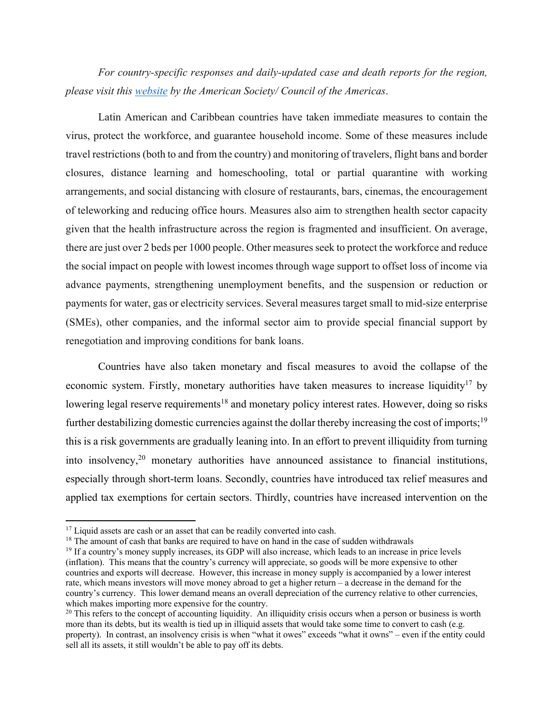*For country-specific responses and daily-updated case and death reports for the region, please visit this website by the American Society/ Council of the Americas*.

Latin American and Caribbean countries have taken immediate measures to contain the virus, protect the workforce, and guarantee household income. Some of these measures include travel restrictions (both to and from the country) and monitoring of travelers, flight bans and border closures, distance learning and homeschooling, total or partial quarantine with working arrangements, and social distancing with closure of restaurants, bars, cinemas, the encouragement of teleworking and reducing office hours. Measures also aim to strengthen health sector capacity given that the health infrastructure across the region is fragmented and insufficient. On average, there are just over 2 beds per 1000 people. Other measures seek to protect the workforce and reduce the social impact on people with lowest incomes through wage support to offset loss of income via advance payments, strengthening unemployment benefits, and the suspension or reduction or payments for water, gas or electricity services. Several measures target small to mid-size enterprise (SMEs), other companies, and the informal sector aim to provide special financial support by renegotiation and improving conditions for bank loans.

Countries have also taken monetary and fiscal measures to avoid the collapse of the economic system. Firstly, monetary authorities have taken measures to increase liquidity<sup>17</sup> by lowering legal reserve requirements<sup>18</sup> and monetary policy interest rates. However, doing so risks further destabilizing domestic currencies against the dollar thereby increasing the cost of imports;<sup>19</sup> this is a risk governments are gradually leaning into. In an effort to prevent illiquidity from turning into insolvency,20 monetary authorities have announced assistance to financial institutions, especially through short-term loans. Secondly, countries have introduced tax relief measures and applied tax exemptions for certain sectors. Thirdly, countries have increased intervention on the

<sup>&</sup>lt;sup>17</sup> Liquid assets are cash or an asset that can be readily converted into cash.

<sup>&</sup>lt;sup>18</sup> The amount of cash that banks are required to have on hand in the case of sudden withdrawals

<sup>&</sup>lt;sup>19</sup> If a country's money supply increases, its GDP will also increase, which leads to an increase in price levels (inflation). This means that the country's currency will appreciate, so goods will be more expensive to other countries and exports will decrease. However, this increase in money supply is accompanied by a lower interest rate, which means investors will move money abroad to get a higher return – a decrease in the demand for the country's currency. This lower demand means an overall depreciation of the currency relative to other currencies, which makes importing more expensive for the country.<br><sup>20</sup> This refers to the concept of accounting liquidity. An illiquidity crisis occurs when a person or business is worth

more than its debts, but its wealth is tied up in illiquid assets that would take some time to convert to cash (e.g. property). In contrast, an insolvency crisis is when "what it owes" exceeds "what it owns" – even if the entity could sell all its assets, it still wouldn't be able to pay off its debts.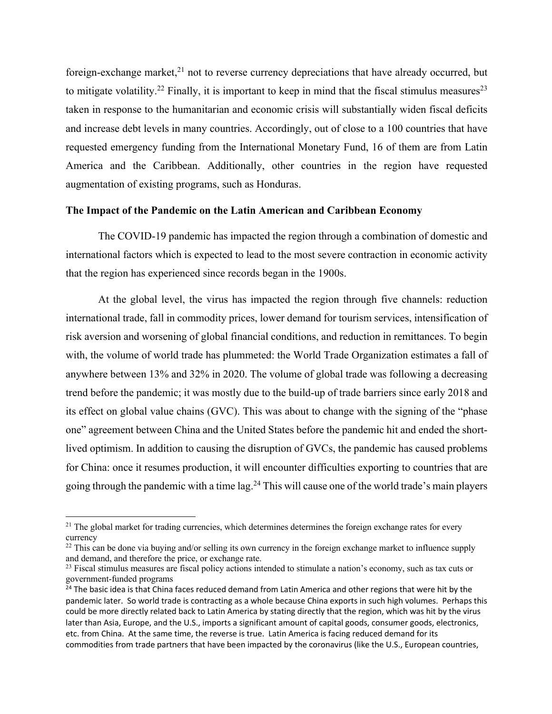foreign-exchange market, $^{21}$  not to reverse currency depreciations that have already occurred, but to mitigate volatility.<sup>22</sup> Finally, it is important to keep in mind that the fiscal stimulus measures<sup>23</sup> taken in response to the humanitarian and economic crisis will substantially widen fiscal deficits and increase debt levels in many countries. Accordingly, out of close to a 100 countries that have requested emergency funding from the International Monetary Fund, 16 of them are from Latin America and the Caribbean. Additionally, other countries in the region have requested augmentation of existing programs, such as Honduras.

# **The Impact of the Pandemic on the Latin American and Caribbean Economy**

The COVID-19 pandemic has impacted the region through a combination of domestic and international factors which is expected to lead to the most severe contraction in economic activity that the region has experienced since records began in the 1900s.

At the global level, the virus has impacted the region through five channels: reduction international trade, fall in commodity prices, lower demand for tourism services, intensification of risk aversion and worsening of global financial conditions, and reduction in remittances. To begin with, the volume of world trade has plummeted: the World Trade Organization estimates a fall of anywhere between 13% and 32% in 2020. The volume of global trade was following a decreasing trend before the pandemic; it was mostly due to the build-up of trade barriers since early 2018 and its effect on global value chains (GVC). This was about to change with the signing of the "phase one" agreement between China and the United States before the pandemic hit and ended the shortlived optimism. In addition to causing the disruption of GVCs, the pandemic has caused problems for China: once it resumes production, it will encounter difficulties exporting to countries that are going through the pandemic with a time lag.<sup>24</sup> This will cause one of the world trade's main players

 $21$  The global market for trading currencies, which determines determines the foreign exchange rates for every currency

 $22$  This can be done via buying and/or selling its own currency in the foreign exchange market to influence supply and demand, and therefore the price, or exchange rate.

 $23$  Fiscal stimulus measures are fiscal policy actions intended to stimulate a nation's economy, such as tax cuts or government-funded programs

<sup>&</sup>lt;sup>24</sup> The basic idea is that China faces reduced demand from Latin America and other regions that were hit by the pandemic later. So world trade is contracting as a whole because China exports in such high volumes. Perhaps this could be more directly related back to Latin America by stating directly that the region, which was hit by the virus later than Asia, Europe, and the U.S., imports a significant amount of capital goods, consumer goods, electronics, etc. from China. At the same time, the reverse is true. Latin America is facing reduced demand for its commodities from trade partners that have been impacted by the coronavirus (like the U.S., European countries,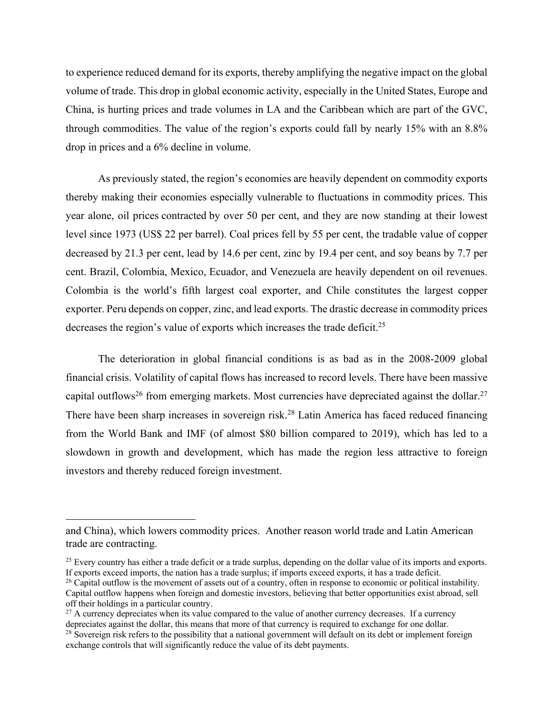to experience reduced demand for its exports, thereby amplifying the negative impact on the global volume of trade. This drop in global economic activity, especially in the United States, Europe and China, is hurting prices and trade volumes in LA and the Caribbean which are part of the GVC, through commodities. The value of the region's exports could fall by nearly 15% with an 8.8% drop in prices and a 6% decline in volume.

As previously stated, the region's economies are heavily dependent on commodity exports thereby making their economies especially vulnerable to fluctuations in commodity prices. This year alone, oil prices contracted by over 50 per cent, and they are now standing at their lowest level since 1973 (US\$ 22 per barrel). Coal prices fell by 55 per cent, the tradable value of copper decreased by 21.3 per cent, lead by 14.6 per cent, zinc by 19.4 per cent, and soy beans by 7.7 per cent. Brazil, Colombia, Mexico, Ecuador, and Venezuela are heavily dependent on oil revenues. Colombia is the world's fifth largest coal exporter, and Chile constitutes the largest copper exporter. Peru depends on copper, zinc, and lead exports. The drastic decrease in commodity prices decreases the region's value of exports which increases the trade deficit.<sup>25</sup>

The deterioration in global financial conditions is as bad as in the 2008-2009 global financial crisis. Volatility of capital flows has increased to record levels. There have been massive capital outflows<sup>26</sup> from emerging markets. Most currencies have depreciated against the dollar.<sup>27</sup> There have been sharp increases in sovereign risk.<sup>28</sup> Latin America has faced reduced financing from the World Bank and IMF (of almost \$80 billion compared to 2019), which has led to a slowdown in growth and development, which has made the region less attractive to foreign investors and thereby reduced foreign investment.

and China), which lowers commodity prices. Another reason world trade and Latin American trade are contracting.

 $25$  Every country has either a trade deficit or a trade surplus, depending on the dollar value of its imports and exports. If exports exceed imports, the nation has a trade surplus; if imports exceed exports, it has a trade deficit.

 $26$  Capital outflow is the movement of assets out of a country, often in response to economic or political instability. Capital outflow happens when foreign and domestic investors, believing that better opportunities exist abroad, sell off their holdings in a particular country.

 $^{27}$  A currency depreciates when its value compared to the value of another currency decreases. If a currency depreciates against the dollar, this means that more of that currency is required to exchange for one dollar.

<sup>&</sup>lt;sup>28</sup> Sovereign risk refers to the possibility that a national government will default on its debt or implement foreign exchange controls that will significantly reduce the value of its debt payments.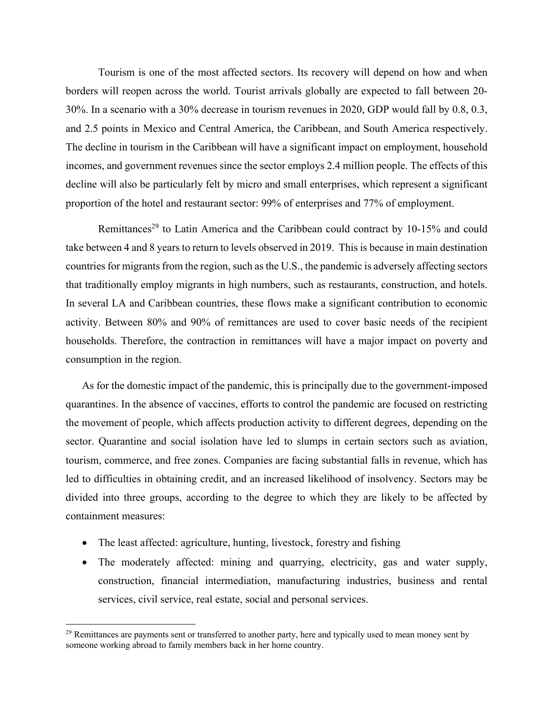Tourism is one of the most affected sectors. Its recovery will depend on how and when borders will reopen across the world. Tourist arrivals globally are expected to fall between 20- 30%. In a scenario with a 30% decrease in tourism revenues in 2020, GDP would fall by 0.8, 0.3, and 2.5 points in Mexico and Central America, the Caribbean, and South America respectively. The decline in tourism in the Caribbean will have a significant impact on employment, household incomes, and government revenues since the sector employs 2.4 million people. The effects of this decline will also be particularly felt by micro and small enterprises, which represent a significant proportion of the hotel and restaurant sector: 99% of enterprises and 77% of employment.

Remittances<sup>29</sup> to Latin America and the Caribbean could contract by 10-15% and could take between 4 and 8 years to return to levels observed in 2019. This is because in main destination countries for migrants from the region, such as the U.S., the pandemic is adversely affecting sectors that traditionally employ migrants in high numbers, such as restaurants, construction, and hotels. In several LA and Caribbean countries, these flows make a significant contribution to economic activity. Between 80% and 90% of remittances are used to cover basic needs of the recipient households. Therefore, the contraction in remittances will have a major impact on poverty and consumption in the region.

As for the domestic impact of the pandemic, this is principally due to the government-imposed quarantines. In the absence of vaccines, efforts to control the pandemic are focused on restricting the movement of people, which affects production activity to different degrees, depending on the sector. Quarantine and social isolation have led to slumps in certain sectors such as aviation, tourism, commerce, and free zones. Companies are facing substantial falls in revenue, which has led to difficulties in obtaining credit, and an increased likelihood of insolvency. Sectors may be divided into three groups, according to the degree to which they are likely to be affected by containment measures:

- The least affected: agriculture, hunting, livestock, forestry and fishing
- The moderately affected: mining and quarrying, electricity, gas and water supply, construction, financial intermediation, manufacturing industries, business and rental services, civil service, real estate, social and personal services.

<sup>&</sup>lt;sup>29</sup> Remittances are payments sent or transferred to another party, here and typically used to mean money sent by someone working abroad to family members back in her home country.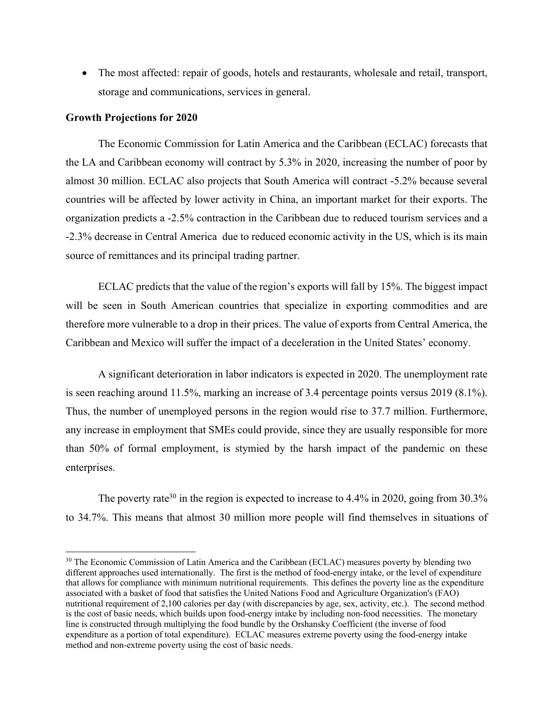• The most affected: repair of goods, hotels and restaurants, wholesale and retail, transport, storage and communications, services in general.

# **Growth Projections for 2020**

The Economic Commission for Latin America and the Caribbean (ECLAC) forecasts that the LA and Caribbean economy will contract by 5.3% in 2020, increasing the number of poor by almost 30 million. ECLAC also projects that South America will contract -5.2% because several countries will be affected by lower activity in China, an important market for their exports. The organization predicts a -2.5% contraction in the Caribbean due to reduced tourism services and a -2.3% decrease in Central America due to reduced economic activity in the US, which is its main source of remittances and its principal trading partner.

ECLAC predicts that the value of the region's exports will fall by 15%. The biggest impact will be seen in South American countries that specialize in exporting commodities and are therefore more vulnerable to a drop in their prices. The value of exports from Central America, the Caribbean and Mexico will suffer the impact of a deceleration in the United States' economy.

A significant deterioration in labor indicators is expected in 2020. The unemployment rate is seen reaching around 11.5%, marking an increase of 3.4 percentage points versus 2019 (8.1%). Thus, the number of unemployed persons in the region would rise to 37.7 million. Furthermore, any increase in employment that SMEs could provide, since they are usually responsible for more than 50% of formal employment, is stymied by the harsh impact of the pandemic on these enterprises.

The poverty rate<sup>30</sup> in the region is expected to increase to  $4.4\%$  in 2020, going from  $30.3\%$ to 34.7%. This means that almost 30 million more people will find themselves in situations of

<sup>&</sup>lt;sup>30</sup> The Economic Commission of Latin America and the Caribbean (ECLAC) measures poverty by blending two different approaches used internationally. The first is the method of food-energy intake, or the level of expenditure that allows for compliance with minimum nutritional requirements. This defines the poverty line as the expenditure associated with a basket of food that satisfies the United Nations Food and Agriculture Organization's (FAO) nutritional requirement of 2,100 calories per day (with discrepancies by age, sex, activity, etc.). The second method is the cost of basic needs, which builds upon food-energy intake by including non-food necessities. The monetary line is constructed through multiplying the food bundle by the Orshansky Coefficient (the inverse of food expenditure as a portion of total expenditure). ECLAC measures extreme poverty using the food-energy intake method and non-extreme poverty using the cost of basic needs.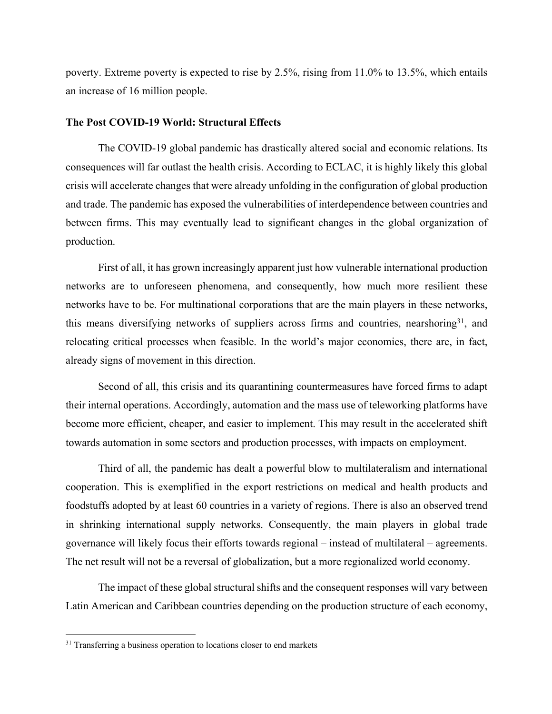poverty. Extreme poverty is expected to rise by 2.5%, rising from 11.0% to 13.5%, which entails an increase of 16 million people.

#### **The Post COVID-19 World: Structural Effects**

The COVID-19 global pandemic has drastically altered social and economic relations. Its consequences will far outlast the health crisis. According to ECLAC, it is highly likely this global crisis will accelerate changes that were already unfolding in the configuration of global production and trade. The pandemic has exposed the vulnerabilities of interdependence between countries and between firms. This may eventually lead to significant changes in the global organization of production.

First of all, it has grown increasingly apparent just how vulnerable international production networks are to unforeseen phenomena, and consequently, how much more resilient these networks have to be. For multinational corporations that are the main players in these networks, this means diversifying networks of suppliers across firms and countries, nearshoring  $3^1$ , and relocating critical processes when feasible. In the world's major economies, there are, in fact, already signs of movement in this direction.

Second of all, this crisis and its quarantining countermeasures have forced firms to adapt their internal operations. Accordingly, automation and the mass use of teleworking platforms have become more efficient, cheaper, and easier to implement. This may result in the accelerated shift towards automation in some sectors and production processes, with impacts on employment.

Third of all, the pandemic has dealt a powerful blow to multilateralism and international cooperation. This is exemplified in the export restrictions on medical and health products and foodstuffs adopted by at least 60 countries in a variety of regions. There is also an observed trend in shrinking international supply networks. Consequently, the main players in global trade governance will likely focus their efforts towards regional – instead of multilateral – agreements. The net result will not be a reversal of globalization, but a more regionalized world economy.

The impact of these global structural shifts and the consequent responses will vary between Latin American and Caribbean countries depending on the production structure of each economy,

 $31$  Transferring a business operation to locations closer to end markets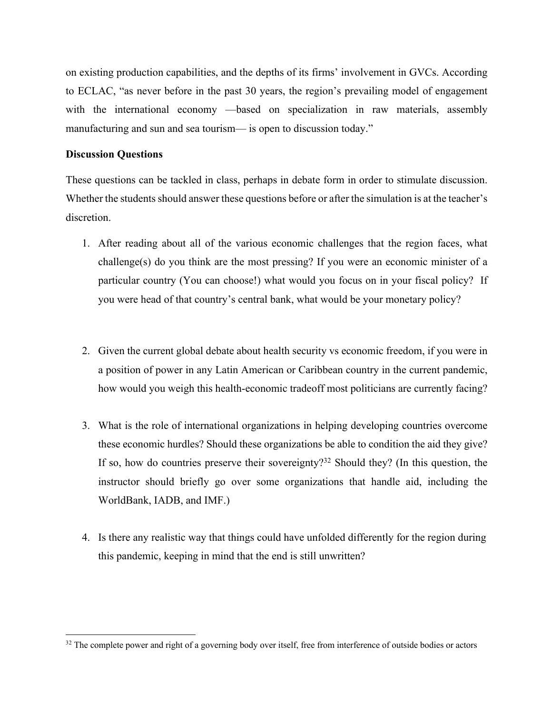on existing production capabilities, and the depths of its firms' involvement in GVCs. According to ECLAC, "as never before in the past 30 years, the region's prevailing model of engagement with the international economy —based on specialization in raw materials, assembly manufacturing and sun and sea tourism— is open to discussion today."

# **Discussion Questions**

These questions can be tackled in class, perhaps in debate form in order to stimulate discussion. Whether the students should answer these questions before or after the simulation is at the teacher's discretion.

- 1. After reading about all of the various economic challenges that the region faces, what challenge(s) do you think are the most pressing? If you were an economic minister of a particular country (You can choose!) what would you focus on in your fiscal policy? If you were head of that country's central bank, what would be your monetary policy?
- 2. Given the current global debate about health security vs economic freedom, if you were in a position of power in any Latin American or Caribbean country in the current pandemic, how would you weigh this health-economic tradeoff most politicians are currently facing?
- 3. What is the role of international organizations in helping developing countries overcome these economic hurdles? Should these organizations be able to condition the aid they give? If so, how do countries preserve their sovereignty?<sup>32</sup> Should they? (In this question, the instructor should briefly go over some organizations that handle aid, including the WorldBank, IADB, and IMF.)
- 4. Is there any realistic way that things could have unfolded differently for the region during this pandemic, keeping in mind that the end is still unwritten?

<sup>&</sup>lt;sup>32</sup> The complete power and right of a governing body over itself, free from interference of outside bodies or actors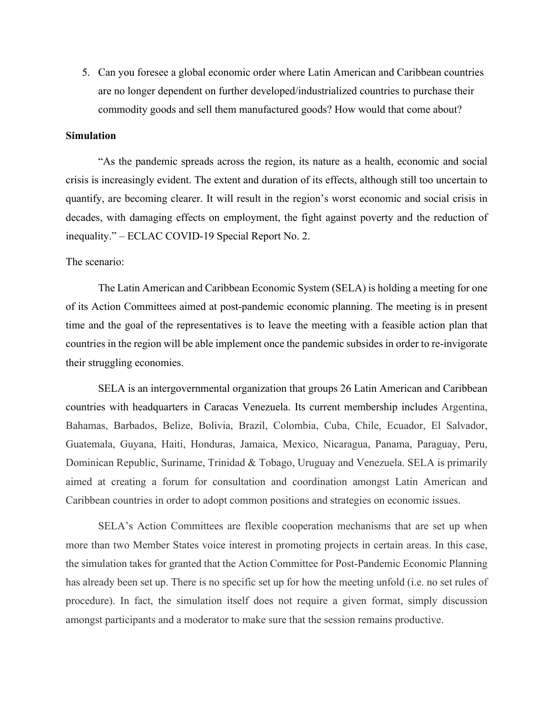5. Can you foresee a global economic order where Latin American and Caribbean countries are no longer dependent on further developed/industrialized countries to purchase their commodity goods and sell them manufactured goods? How would that come about?

# **Simulation**

"As the pandemic spreads across the region, its nature as a health, economic and social crisis is increasingly evident. The extent and duration of its effects, although still too uncertain to quantify, are becoming clearer. It will result in the region's worst economic and social crisis in decades, with damaging effects on employment, the fight against poverty and the reduction of inequality." – ECLAC COVID-19 Special Report No. 2.

# The scenario:

The Latin American and Caribbean Economic System (SELA) is holding a meeting for one of its Action Committees aimed at post-pandemic economic planning. The meeting is in present time and the goal of the representatives is to leave the meeting with a feasible action plan that countries in the region will be able implement once the pandemic subsides in order to re-invigorate their struggling economies.

SELA is an intergovernmental organization that groups 26 Latin American and Caribbean countries with headquarters in Caracas Venezuela. Its current membership includes Argentina, Bahamas, Barbados, Belize, Bolivia, Brazil, Colombia, Cuba, Chile, Ecuador, El Salvador, Guatemala, Guyana, Haiti, Honduras, Jamaica, Mexico, Nicaragua, Panama, Paraguay, Peru, Dominican Republic, Suriname, Trinidad & Tobago, Uruguay and Venezuela. SELA is primarily aimed at creating a forum for consultation and coordination amongst Latin American and Caribbean countries in order to adopt common positions and strategies on economic issues.

SELA's Action Committees are flexible cooperation mechanisms that are set up when more than two Member States voice interest in promoting projects in certain areas. In this case, the simulation takes for granted that the Action Committee for Post-Pandemic Economic Planning has already been set up. There is no specific set up for how the meeting unfold (i.e. no set rules of procedure). In fact, the simulation itself does not require a given format, simply discussion amongst participants and a moderator to make sure that the session remains productive.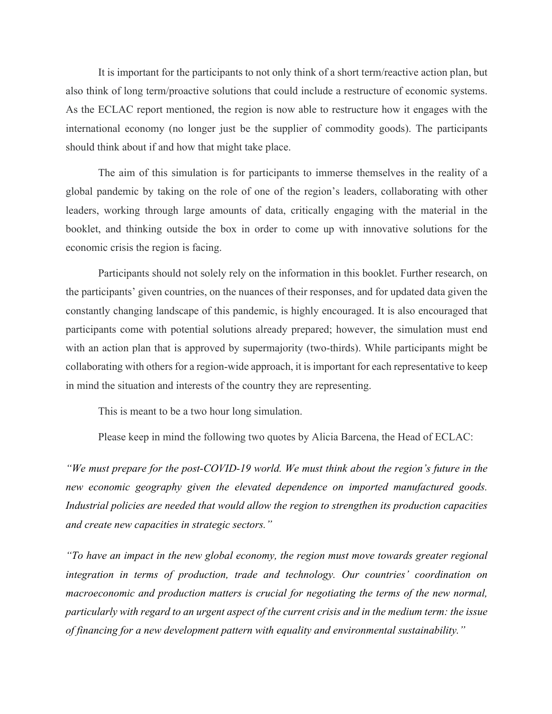It is important for the participants to not only think of a short term/reactive action plan, but also think of long term/proactive solutions that could include a restructure of economic systems. As the ECLAC report mentioned, the region is now able to restructure how it engages with the international economy (no longer just be the supplier of commodity goods). The participants should think about if and how that might take place.

The aim of this simulation is for participants to immerse themselves in the reality of a global pandemic by taking on the role of one of the region's leaders, collaborating with other leaders, working through large amounts of data, critically engaging with the material in the booklet, and thinking outside the box in order to come up with innovative solutions for the economic crisis the region is facing.

Participants should not solely rely on the information in this booklet. Further research, on the participants' given countries, on the nuances of their responses, and for updated data given the constantly changing landscape of this pandemic, is highly encouraged. It is also encouraged that participants come with potential solutions already prepared; however, the simulation must end with an action plan that is approved by supermajority (two-thirds). While participants might be collaborating with others for a region-wide approach, it is important for each representative to keep in mind the situation and interests of the country they are representing.

This is meant to be a two hour long simulation.

Please keep in mind the following two quotes by Alicia Barcena, the Head of ECLAC:

*"We must prepare for the post-COVID-19 world. We must think about the region's future in the new economic geography given the elevated dependence on imported manufactured goods. Industrial policies are needed that would allow the region to strengthen its production capacities and create new capacities in strategic sectors."*

*"To have an impact in the new global economy, the region must move towards greater regional integration in terms of production, trade and technology. Our countries' coordination on macroeconomic and production matters is crucial for negotiating the terms of the new normal, particularly with regard to an urgent aspect of the current crisis and in the medium term: the issue of financing for a new development pattern with equality and environmental sustainability."*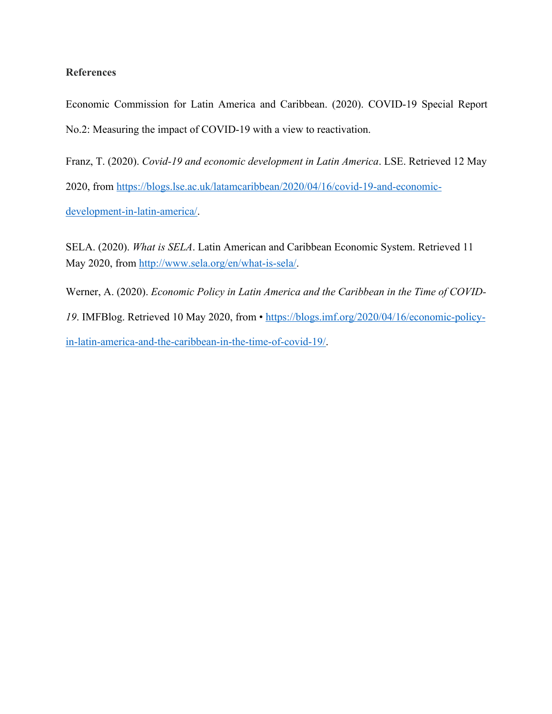# **References**

Economic Commission for Latin America and Caribbean. (2020). COVID-19 Special Report No.2: Measuring the impact of COVID-19 with a view to reactivation.

Franz, T. (2020). *Covid-19 and economic development in Latin America*. LSE. Retrieved 12 May 2020, from https://blogs.lse.ac.uk/latamcaribbean/2020/04/16/covid-19-and-economicdevelopment-in-latin-america/.

 SELA. (2020). *What is SELA*. Latin American and Caribbean Economic System. Retrieved 11 May 2020, from http://www.sela.org/en/what-is-sela/.

Werner, A. (2020). *Economic Policy in Latin America and the Caribbean in the Time of COVID-19*. IMFBlog. Retrieved 10 May 2020, from • https://blogs.imf.org/2020/04/16/economic-policyin-latin-america-and-the-caribbean-in-the-time-of-covid-19/.